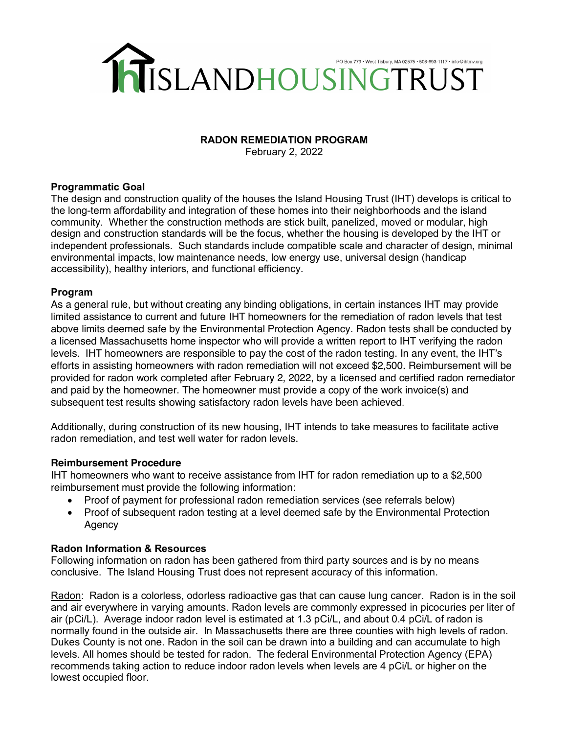

## **RADON REMEDIATION PROGRAM**

February 2, 2022

## **Programmatic Goal**

The design and construction quality of the houses the Island Housing Trust (IHT) develops is critical to the long-term affordability and integration of these homes into their neighborhoods and the island community. Whether the construction methods are stick built, panelized, moved or modular, high design and construction standards will be the focus, whether the housing is developed by the IHT or independent professionals. Such standards include compatible scale and character of design, minimal environmental impacts, low maintenance needs, low energy use, universal design (handicap accessibility), healthy interiors, and functional efficiency.

## **Program**

As a general rule, but without creating any binding obligations, in certain instances IHT may provide limited assistance to current and future IHT homeowners for the remediation of radon levels that test above limits deemed safe by the Environmental Protection Agency. Radon tests shall be conducted by a licensed Massachusetts home inspector who will provide a written report to IHT verifying the radon levels. IHT homeowners are responsible to pay the cost of the radon testing. In any event, the IHT's efforts in assisting homeowners with radon remediation will not exceed \$2,500. Reimbursement will be provided for radon work completed after February 2, 2022, by a licensed and certified radon remediator and paid by the homeowner. The homeowner must provide a copy of the work invoice(s) and subsequent test results showing satisfactory radon levels have been achieved.

Additionally, during construction of its new housing, IHT intends to take measures to facilitate active radon remediation, and test well water for radon levels.

# **Reimbursement Procedure**

IHT homeowners who want to receive assistance from IHT for radon remediation up to a \$2,500 reimbursement must provide the following information:

- Proof of payment for professional radon remediation services (see referrals below)
- Proof of subsequent radon testing at a level deemed safe by the Environmental Protection Agency

### **Radon Information & Resources**

Following information on radon has been gathered from third party sources and is by no means conclusive. The Island Housing Trust does not represent accuracy of this information.

Radon: Radon is a colorless, odorless radioactive gas that can cause lung cancer. Radon is in the soil and air everywhere in varying amounts. Radon levels are commonly expressed in picocuries per liter of air (pCi/L). Average indoor radon level is estimated at 1.3 pCi/L, and about 0.4 pCi/L of radon is normally found in the outside air. In Massachusetts there are three counties with high levels of radon. Dukes County is not one. Radon in the soil can be drawn into a building and can accumulate to high levels. All homes should be tested for radon. The federal Environmental Protection Agency (EPA) recommends taking action to reduce indoor radon levels when levels are 4 pCi/L or higher on the lowest occupied floor.